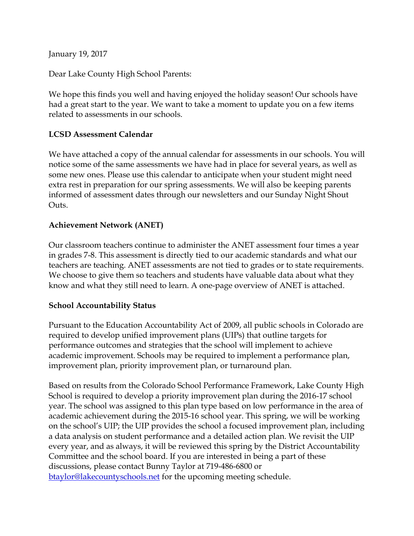January 19, 2017

Dear Lake County High School Parents:

We hope this finds you well and having enjoyed the holiday season! Our schools have had a great start to the year. We want to take a moment to update you on a few items related to assessments in our schools.

### **LCSD Assessment Calendar**

We have attached a copy of the annual calendar for assessments in our schools. You will notice some of the same assessments we have had in place for several years, as well as some new ones. Please use this calendar to anticipate when your student might need extra rest in preparation for our spring assessments. We will also be keeping parents informed of assessment dates through our newsletters and our Sunday Night Shout Outs.

## **Achievement Network (ANET)**

Our classroom teachers continue to administer the ANET assessment four times a year in grades 7-8. This assessment is directly tied to our academic standards and what our teachers are teaching. ANET assessments are not tied to grades or to state requirements. We choose to give them so teachers and students have valuable data about what they know and what they still need to learn. A one-page overview of ANET is attached.

## **School Accountability Status**

Pursuant to the Education Accountability Act of 2009, all public schools in Colorado are required to develop unified improvement plans (UIPs) that outline targets for performance outcomes and strategies that the school will implement to achieve academic improvement. Schools may be required to implement a performance plan, improvement plan, priority improvement plan, or turnaround plan.

Based on results from the Colorado School Performance Framework, Lake County High School is required to develop a priority improvement plan during the 2016-17 school year. The school was assigned to this plan type based on low performance in the area of academic achievement during the 2015-16 school year. This spring, we will be working on the school's UIP; the UIP provides the school a focused improvement plan, including a data analysis on student performance and a detailed action plan. We revisit the UIP every year, and as always, it will be reviewed this spring by the District Accountability Committee and the school board. If you are interested in being a part of these discussions, please contact Bunny Taylor at 719-486-6800 or [btaylor@lakecountyschools.net](mailto:btaylor@lakecountyschools.net) for the upcoming meeting schedule.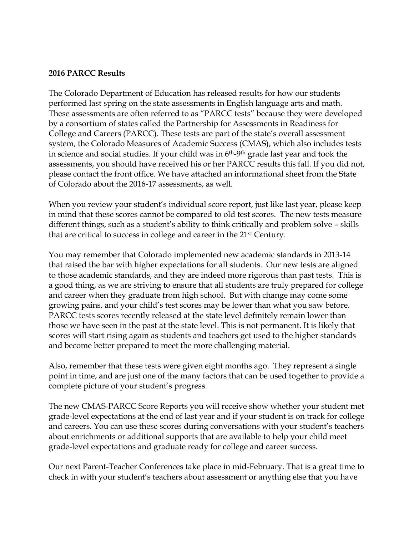#### **2016 PARCC Results**

The Colorado Department of Education has released results for how our students performed last spring on the state assessments in English language arts and math. These assessments are often referred to as "PARCC tests" because they were developed by a consortium of states called the Partnership for Assessments in Readiness for College and Careers (PARCC). These tests are part of the state's overall assessment system, the Colorado Measures of Academic Success (CMAS), which also includes tests in science and social studies. If your child was in  $6<sup>th-9<sup>th</sup></sup>$  grade last year and took the assessments, you should have received his or her PARCC results this fall. If you did not, please contact the front office. We have attached an informational sheet from the State of Colorado about the 2016-17 assessments, as well.

When you review your student's individual score report, just like last year, please keep in mind that these scores cannot be compared to old test scores. The new tests measure different things, such as a student's ability to think critically and problem solve – skills that are critical to success in college and career in the 21st Century.

You may remember that Colorado implemented new academic standards in 2013-14 that raised the bar with higher expectations for all students. Our new tests are aligned to those academic standards, and they are indeed more rigorous than past tests. This is a good thing, as we are striving to ensure that all students are truly prepared for college and career when they graduate from high school. But with change may come some growing pains, and your child's test scores may be lower than what you saw before. PARCC tests scores recently released at the state level definitely remain lower than those we have seen in the past at the state level. This is not permanent. It is likely that scores will start rising again as students and teachers get used to the higher standards and become better prepared to meet the more challenging material.

Also, remember that these tests were given eight months ago. They represent a single point in time, and are just one of the many factors that can be used together to provide a complete picture of your student's progress.

The new CMAS-PARCC Score Reports you will receive show whether your student met grade-level expectations at the end of last year and if your student is on track for college and careers. You can use these scores during conversations with your student's teachers about enrichments or additional supports that are available to help your child meet grade-level expectations and graduate ready for college and career success.

Our next Parent-Teacher Conferences take place in mid-February. That is a great time to check in with your student's teachers about assessment or anything else that you have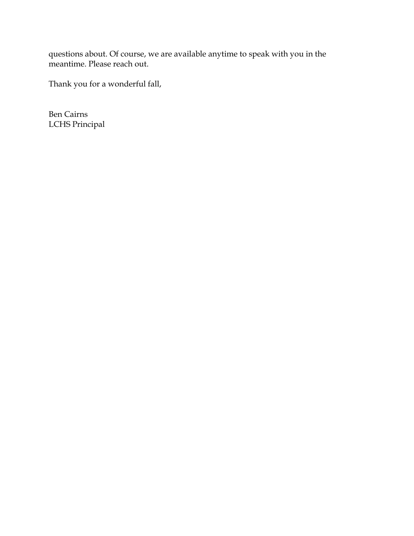questions about. Of course, we are available anytime to speak with you in the meantime. Please reach out.

Thank you for a wonderful fall,

Ben Cairns LCHS Principal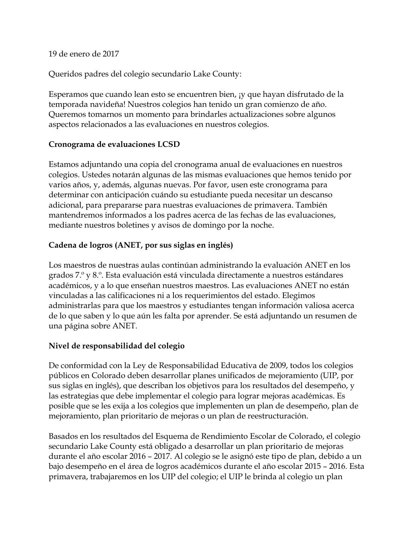19 de enero de 2017

Queridos padres del colegio secundario Lake County:

Esperamos que cuando lean esto se encuentren bien, ¡y que hayan disfrutado de la temporada navideña! Nuestros colegios han tenido un gran comienzo de año. Queremos tomarnos un momento para brindarles actualizaciones sobre algunos aspectos relacionados a las evaluaciones en nuestros colegios.

# **Cronograma de evaluaciones LCSD**

Estamos adjuntando una copia del cronograma anual de evaluaciones en nuestros colegios. Ustedes notarán algunas de las mismas evaluaciones que hemos tenido por varios años, y, además, algunas nuevas. Por favor, usen este cronograma para determinar con anticipación cuándo su estudiante pueda necesitar un descanso adicional, para prepararse para nuestras evaluaciones de primavera. También mantendremos informados a los padres acerca de las fechas de las evaluaciones, mediante nuestros boletines y avisos de domingo por la noche.

# **Cadena de logros (ANET, por sus siglas en inglés)**

Los maestros de nuestras aulas continúan administrando la evaluación ANET en los grados 7.º y 8.º. Esta evaluación está vinculada directamente a nuestros estándares académicos, y a lo que enseñan nuestros maestros. Las evaluaciones ANET no están vinculadas a las calificaciones ni a los requerimientos del estado. Elegimos administrarlas para que los maestros y estudiantes tengan información valiosa acerca de lo que saben y lo que aún les falta por aprender. Se está adjuntando un resumen de una página sobre ANET.

## **Nivel de responsabilidad del colegio**

De conformidad con la Ley de Responsabilidad Educativa de 2009, todos los colegios públicos en Colorado deben desarrollar planes unificados de mejoramiento (UIP, por sus siglas en inglés), que describan los objetivos para los resultados del desempeño, y las estrategias que debe implementar el colegio para lograr mejoras académicas. Es posible que se les exija a los colegios que implementen un plan de desempeño, plan de mejoramiento, plan prioritario de mejoras o un plan de reestructuración.

Basados en los resultados del Esquema de Rendimiento Escolar de Colorado, el colegio secundario Lake County está obligado a desarrollar un plan prioritario de mejoras durante el año escolar 2016 – 2017. Al colegio se le asignó este tipo de plan, debido a un bajo desempeño en el área de logros académicos durante el año escolar 2015 – 2016. Esta primavera, trabajaremos en los UIP del colegio; el UIP le brinda al colegio un plan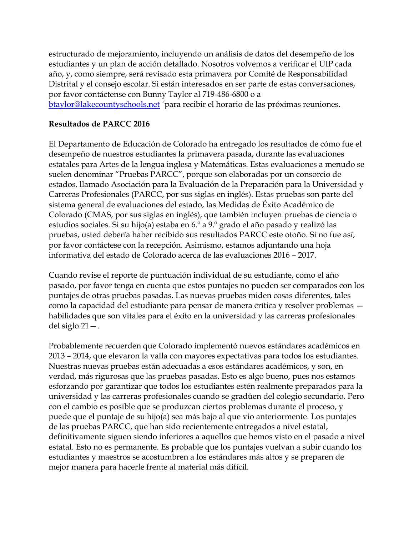estructurado de mejoramiento, incluyendo un análisis de datos del desempeño de los estudiantes y un plan de acción detallado. Nosotros volvemos a verificar el UIP cada año, y, como siempre, será revisado esta primavera por Comité de Responsabilidad Distrital y el consejo escolar. Si están interesados en ser parte de estas conversaciones, por favor contáctense con Bunny Taylor al 719-486-6800 o a [btaylor@lakecountyschools.net](mailto:btaylor@lakecountyschools.net) ´para recibir el horario de las próximas reuniones.

### **Resultados de PARCC 2016**

El Departamento de Educación de Colorado ha entregado los resultados de cómo fue el desempeño de nuestros estudiantes la primavera pasada, durante las evaluaciones estatales para Artes de la lengua inglesa y Matemáticas. Estas evaluaciones a menudo se suelen denominar "Pruebas PARCC", porque son elaboradas por un consorcio de estados, llamado Asociación para la Evaluación de la Preparación para la Universidad y Carreras Profesionales (PARCC, por sus siglas en inglés). Estas pruebas son parte del sistema general de evaluaciones del estado, las Medidas de Éxito Académico de Colorado (CMAS, por sus siglas en inglés), que también incluyen pruebas de ciencia o estudios sociales. Si su hijo(a) estaba en 6.º a 9.º grado el año pasado y realizó las pruebas, usted debería haber recibido sus resultados PARCC este otoño. Si no fue así, por favor contáctese con la recepción. Asimismo, estamos adjuntando una hoja informativa del estado de Colorado acerca de las evaluaciones 2016 – 2017.

Cuando revise el reporte de puntuación individual de su estudiante, como el año pasado, por favor tenga en cuenta que estos puntajes no pueden ser comparados con los puntajes de otras pruebas pasadas. Las nuevas pruebas miden cosas diferentes, tales como la capacidad del estudiante para pensar de manera crítica y resolver problemas habilidades que son vitales para el éxito en la universidad y las carreras profesionales del siglo 21—.

Probablemente recuerden que Colorado implementó nuevos estándares académicos en 2013 – 2014, que elevaron la valla con mayores expectativas para todos los estudiantes. Nuestras nuevas pruebas están adecuadas a esos estándares académicos, y son, en verdad, más rigurosas que las pruebas pasadas. Esto es algo bueno, pues nos estamos esforzando por garantizar que todos los estudiantes estén realmente preparados para la universidad y las carreras profesionales cuando se gradúen del colegio secundario. Pero con el cambio es posible que se produzcan ciertos problemas durante el proceso, y puede que el puntaje de su hijo(a) sea más bajo al que vio anteriormente. Los puntajes de las pruebas PARCC, que han sido recientemente entregados a nivel estatal, definitivamente siguen siendo inferiores a aquellos que hemos visto en el pasado a nivel estatal. Esto no es permanente. Es probable que los puntajes vuelvan a subir cuando los estudiantes y maestros se acostumbren a los estándares más altos y se preparen de mejor manera para hacerle frente al material más difícil.